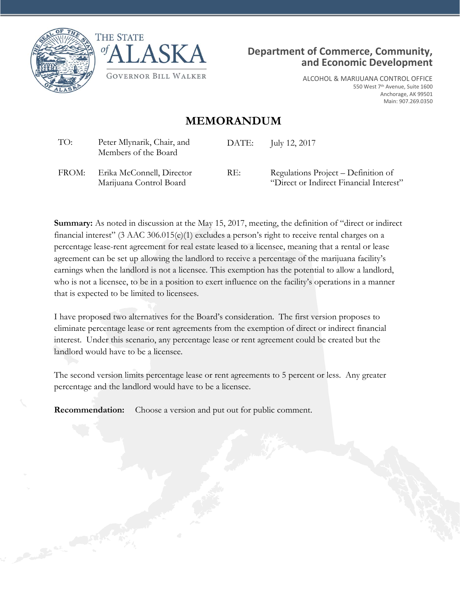





ALCOHOL & MARIJUANA CONTROL OFFICE 550 West 7th Avenue, Suite 1600 Anchorage, AK 99501 Main: 907.269.0350

## **MEMORANDUM**

| TO:   | Peter Mlynarik, Chair, and<br>Members of the Board   | DATE: | July 12, 2017                                                                  |
|-------|------------------------------------------------------|-------|--------------------------------------------------------------------------------|
| FROM: | Erika McConnell, Director<br>Marijuana Control Board | RE:   | Regulations Project – Definition of<br>"Direct or Indirect Financial Interest" |

**Summary:** As noted in discussion at the May 15, 2017, meeting, the definition of "direct or indirect financial interest" (3 AAC 306.015(e)(1) excludes a person's right to receive rental charges on a percentage lease-rent agreement for real estate leased to a licensee, meaning that a rental or lease agreement can be set up allowing the landlord to receive a percentage of the marijuana facility's earnings when the landlord is not a licensee. This exemption has the potential to allow a landlord, who is not a licensee, to be in a position to exert influence on the facility's operations in a manner that is expected to be limited to licensees.

I have proposed two alternatives for the Board's consideration. The first version proposes to eliminate percentage lease or rent agreements from the exemption of direct or indirect financial interest. Under this scenario, any percentage lease or rent agreement could be created but the landlord would have to be a licensee.

The second version limits percentage lease or rent agreements to 5 percent or less. Any greater percentage and the landlord would have to be a licensee.

**Recommendation:** Choose a version and put out for public comment.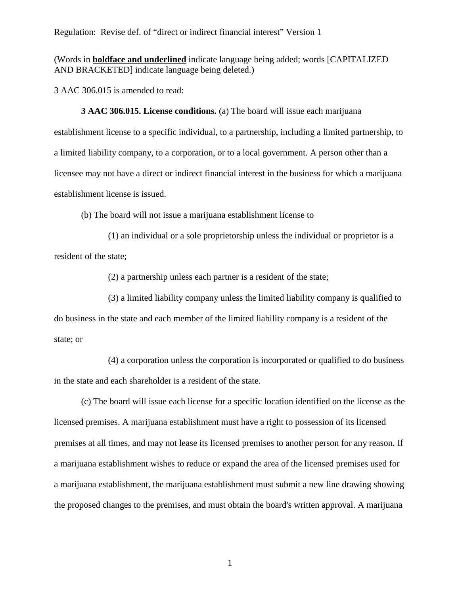(Words in **boldface and underlined** indicate language being added; words [CAPITALIZED AND BRACKETED] indicate language being deleted.)

3 AAC 306.015 is amended to read:

**3 AAC 306.015. License conditions.** (a) The board will issue each marijuana establishment license to a specific individual, to a partnership, including a limited partnership, to a limited liability company, to a corporation, or to a local government. A person other than a licensee may not have a direct or indirect financial interest in the business for which a marijuana establishment license is issued.

(b) The board will not issue a marijuana establishment license to

(1) an individual or a sole proprietorship unless the individual or proprietor is a resident of the state;

(2) a partnership unless each partner is a resident of the state;

(3) a limited liability company unless the limited liability company is qualified to do business in the state and each member of the limited liability company is a resident of the state; or

(4) a corporation unless the corporation is incorporated or qualified to do business in the state and each shareholder is a resident of the state.

(c) The board will issue each license for a specific location identified on the license as the licensed premises. A marijuana establishment must have a right to possession of its licensed premises at all times, and may not lease its licensed premises to another person for any reason. If a marijuana establishment wishes to reduce or expand the area of the licensed premises used for a marijuana establishment, the marijuana establishment must submit a new line drawing showing the proposed changes to the premises, and must obtain the board's written approval. A marijuana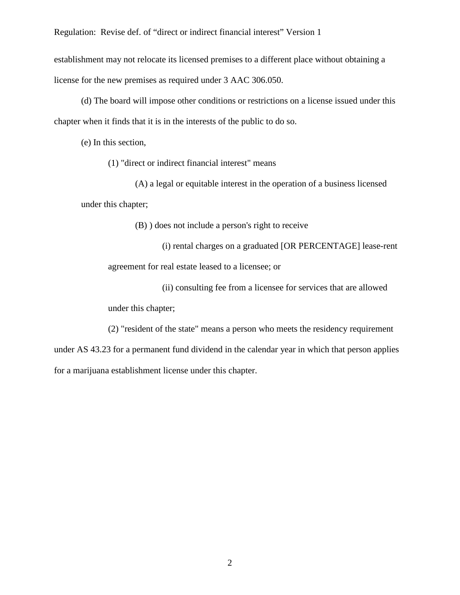establishment may not relocate its licensed premises to a different place without obtaining a license for the new premises as required under 3 AAC 306.050.

(d) The board will impose other conditions or restrictions on a license issued under this chapter when it finds that it is in the interests of the public to do so.

(e) In this section,

(1) "direct or indirect financial interest" means

(A) a legal or equitable interest in the operation of a business licensed under this chapter;

(B) ) does not include a person's right to receive

(i) rental charges on a graduated [OR PERCENTAGE] lease-rent

agreement for real estate leased to a licensee; or

(ii) consulting fee from a licensee for services that are allowed under this chapter;

(2) "resident of the state" means a person who meets the residency requirement under AS 43.23 for a permanent fund dividend in the calendar year in which that person applies for a marijuana establishment license under this chapter.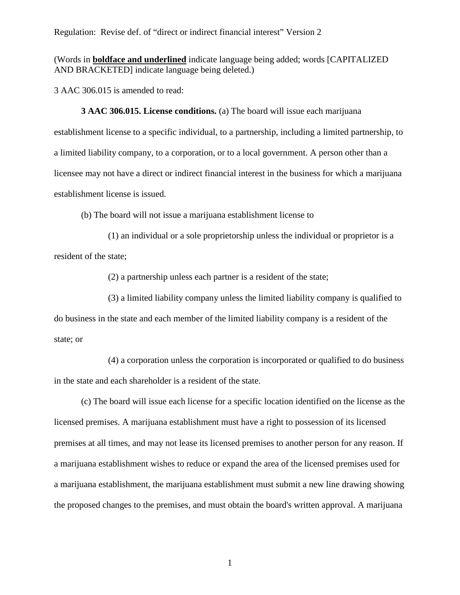(Words in **boldface and underlined** indicate language being added; words [CAPITALIZED AND BRACKETED] indicate language being deleted.)

3 AAC 306.015 is amended to read:

**3 AAC 306.015. License conditions.** (a) The board will issue each marijuana establishment license to a specific individual, to a partnership, including a limited partnership, to a limited liability company, to a corporation, or to a local government. A person other than a licensee may not have a direct or indirect financial interest in the business for which a marijuana establishment license is issued.

(b) The board will not issue a marijuana establishment license to

(1) an individual or a sole proprietorship unless the individual or proprietor is a resident of the state;

(2) a partnership unless each partner is a resident of the state;

(3) a limited liability company unless the limited liability company is qualified to do business in the state and each member of the limited liability company is a resident of the state; or

(4) a corporation unless the corporation is incorporated or qualified to do business in the state and each shareholder is a resident of the state.

(c) The board will issue each license for a specific location identified on the license as the licensed premises. A marijuana establishment must have a right to possession of its licensed premises at all times, and may not lease its licensed premises to another person for any reason. If a marijuana establishment wishes to reduce or expand the area of the licensed premises used for a marijuana establishment, the marijuana establishment must submit a new line drawing showing the proposed changes to the premises, and must obtain the board's written approval. A marijuana